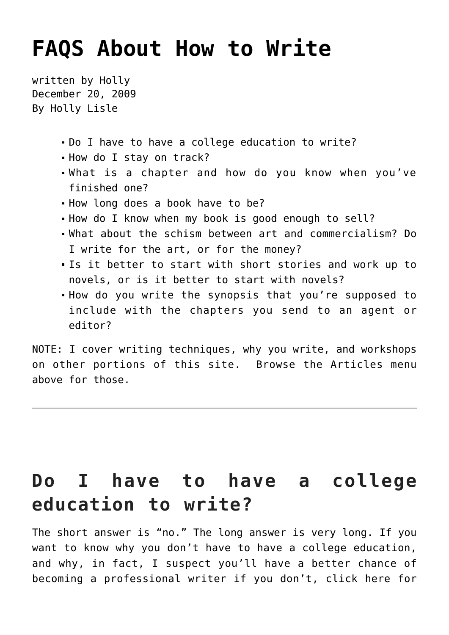# **[FAQS About How to Write](https://hollylisle.com/how-to-write/)**

written by Holly December 20, 2009 [By Holly Lisle](https://hollylisle.com)

- [Do I have to have a college education to write?](#page-0-0)
- [How do I stay on track?](#page-1-0)
- [What is a chapter and how do you know when you've](#page-3-0) [finished one?](#page-3-0)
- [How long does a book have to be?](#page-4-0)
- [How do I know when my book is good enough to sell?](#page-5-0)
- [What about the schism between art and commercialism? Do](#page-5-1) [I write for the art, or for the money?](#page-5-1)
- [Is it better to start with short stories and work up to](#page-6-0) [novels, or is it better to start with novels?](#page-6-0)
- [How do you write the synopsis that you're supposed to](https://hollylisle.com/8) [include with the chapters you send to an agent or](https://hollylisle.com/8) [editor?](https://hollylisle.com/8)

NOTE: I cover writing techniques, why you write, and workshops on other portions of this site. Browse the Articles menu above for those.

### <span id="page-0-0"></span>**Do I have to have a college education to write?**

The short answer is "no." The long answer is very long. If you want to know why you don't have to have a college education, and why, in fact, I suspect you'll have a better chance of becoming a professional writer if you don't, click here for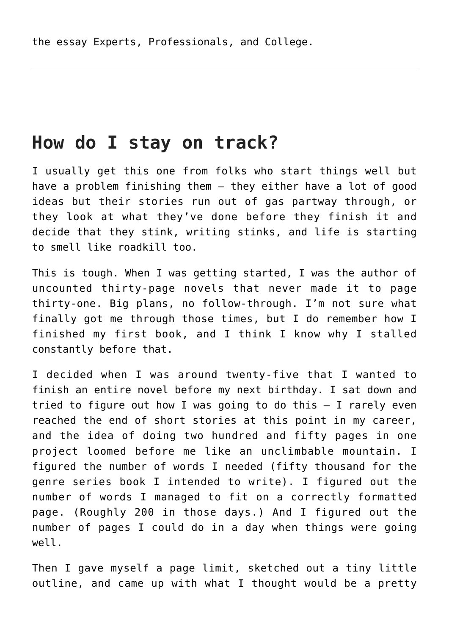### <span id="page-1-0"></span>**How do I stay on track?**

I usually get this one from folks who start things well but have a problem finishing them — they either have a lot of good ideas but their stories run out of gas partway through, or they look at what they've done before they finish it and decide that they stink, writing stinks, and life is starting to smell like roadkill too.

This is tough. When I was getting started, I was the author of uncounted thirty-page novels that never made it to page thirty-one. Big plans, no follow-through. I'm not sure what finally got me through those times, but I do remember how I finished my first book, and I think I know why I stalled constantly before that.

I decided when I was around twenty-five that I wanted to finish an entire novel before my next birthday. I sat down and tried to figure out how I was going to do this  $-$  I rarely even reached the end of short stories at this point in my career, and the idea of doing two hundred and fifty pages in one project loomed before me like an unclimbable mountain. I figured the number of words I needed (fifty thousand for the genre series book I intended to write). I figured out the number of words I managed to fit on a correctly formatted page. (Roughly 200 in those days.) And I figured out the number of pages I could do in a day when things were going well.

Then I gave myself a page limit, sketched out a tiny little outline, and came up with what I thought would be a pretty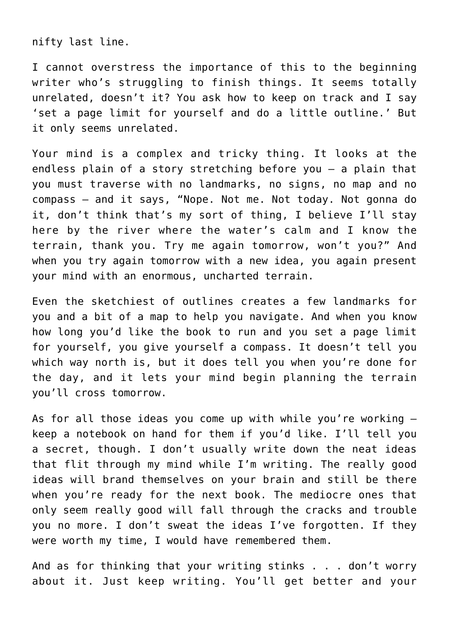nifty last line.

I cannot overstress the importance of this to the beginning writer who's struggling to finish things. It seems totally unrelated, doesn't it? You ask how to keep on track and I say 'set a page limit for yourself and do a little outline.' But it only seems unrelated.

Your mind is a complex and tricky thing. It looks at the endless plain of a story stretching before you — a plain that you must traverse with no landmarks, no signs, no map and no compass — and it says, "Nope. Not me. Not today. Not gonna do it, don't think that's my sort of thing, I believe I'll stay here by the river where the water's calm and I know the terrain, thank you. Try me again tomorrow, won't you?" And when you try again tomorrow with a new idea, you again present your mind with an enormous, uncharted terrain.

Even the sketchiest of outlines creates a few landmarks for you and a bit of a map to help you navigate. And when you know how long you'd like the book to run and you set a page limit for yourself, you give yourself a compass. It doesn't tell you which way north is, but it does tell you when you're done for the day, and it lets your mind begin planning the terrain you'll cross tomorrow.

As for all those ideas you come up with while you're working keep a notebook on hand for them if you'd like. I'll tell you a secret, though. I don't usually write down the neat ideas that flit through my mind while I'm writing. The really good ideas will brand themselves on your brain and still be there when you're ready for the next book. The mediocre ones that only seem really good will fall through the cracks and trouble you no more. I don't sweat the ideas I've forgotten. If they were worth my time, I would have remembered them.

And as for thinking that your writing stinks . . . don't worry about it. Just keep writing. You'll get better and your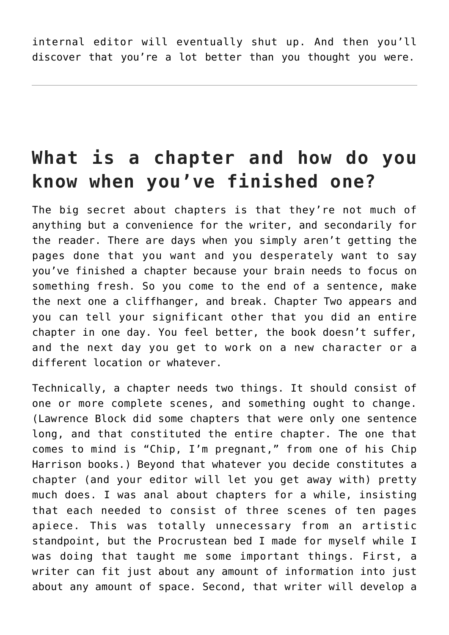internal editor will eventually shut up. And then you'll discover that you're a lot better than you thought you were.

### <span id="page-3-0"></span>**What is a chapter and how do you know when you've finished one?**

The big secret about chapters is that they're not much of anything but a convenience for the writer, and secondarily for the reader. There are days when you simply aren't getting the pages done that you want and you desperately want to say you've finished a chapter because your brain needs to focus on something fresh. So you come to the end of a sentence, make the next one a cliffhanger, and break. Chapter Two appears and you can tell your significant other that you did an entire chapter in one day. You feel better, the book doesn't suffer, and the next day you get to work on a new character or a different location or whatever.

Technically, a chapter needs two things. It should consist of one or more complete scenes, and something ought to change. (Lawrence Block did some chapters that were only one sentence long, and that constituted the entire chapter. The one that comes to mind is "Chip, I'm pregnant," from one of his Chip Harrison books.) Beyond that whatever you decide constitutes a chapter (and your editor will let you get away with) pretty much does. I was anal about chapters for a while, insisting that each needed to consist of three scenes of ten pages apiece. This was totally unnecessary from an artistic standpoint, but the Procrustean bed I made for myself while I was doing that taught me some important things. First, a writer can fit just about any amount of information into just about any amount of space. Second, that writer will develop a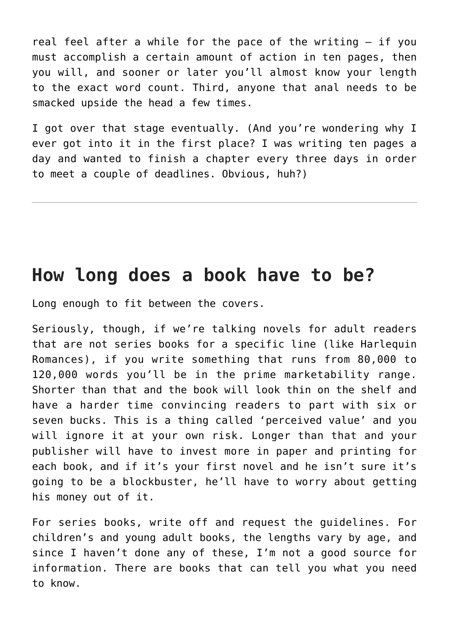real feel after a while for the pace of the writing  $-$  if you must accomplish a certain amount of action in ten pages, then you will, and sooner or later you'll almost know your length to the exact word count. Third, anyone that anal needs to be smacked upside the head a few times.

I got over that stage eventually. (And you're wondering why I ever got into it in the first place? I was writing ten pages a day and wanted to finish a chapter every three days in order to meet a couple of deadlines. Obvious, huh?)

#### <span id="page-4-0"></span>**How long does a book have to be?**

Long enough to fit between the covers.

Seriously, though, if we're talking novels for adult readers that are not series books for a specific line (like Harlequin Romances), if you write something that runs from 80,000 to 120,000 words you'll be in the prime marketability range. Shorter than that and the book will look thin on the shelf and have a harder time convincing readers to part with six or seven bucks. This is a thing called 'perceived value' and you will ignore it at your own risk. Longer than that and your publisher will have to invest more in paper and printing for each book, and if it's your first novel and he isn't sure it's going to be a blockbuster, he'll have to worry about getting his money out of it.

For series books, write off and request the guidelines. For children's and young adult books, the lengths vary by age, and since I haven't done any of these, I'm not a good source for information. There are books that can tell you what you need to know.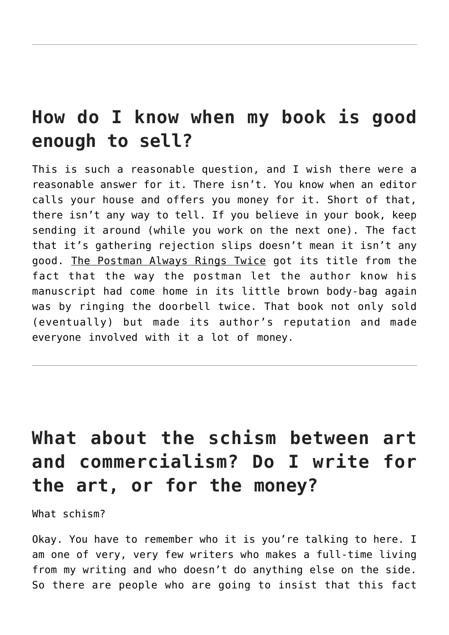### <span id="page-5-0"></span>**How do I know when my book is good enough to sell?**

This is such a reasonable question, and I wish there were a reasonable answer for it. There isn't. You know when an editor calls your house and offers you money for it. Short of that, there isn't any way to tell. If you believe in your book, keep sending it around (while you work on the next one). The fact that it's gathering rejection slips doesn't mean it isn't any good. The Postman Always Rings Twice got its title from the fact that the way the postman let the author know his manuscript had come home in its little brown body-bag again was by ringing the doorbell twice. That book not only sold (eventually) but made its author's reputation and made everyone involved with it a lot of money.

# <span id="page-5-1"></span>**What about the schism between art and commercialism? Do I write for the art, or for the money?**

What schism?

Okay. You have to remember who it is you're talking to here. I am one of very, very few writers who makes a full-time living from my writing and who doesn't do anything else on the side. So there are people who are going to insist that this fact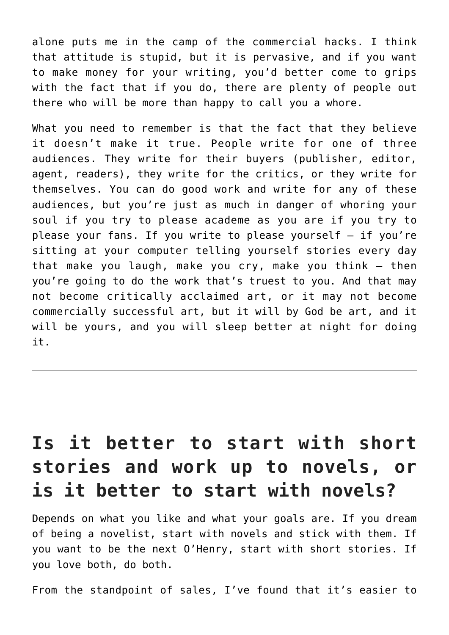alone puts me in the camp of the commercial hacks. I think that attitude is stupid, but it is pervasive, and if you want to make money for your writing, you'd better come to grips with the fact that if you do, there are plenty of people out there who will be more than happy to call you a whore.

What you need to remember is that the fact that they believe it doesn't make it true. People write for one of three audiences. They write for their buyers (publisher, editor, agent, readers), they write for the critics, or they write for themselves. You can do good work and write for any of these audiences, but you're just as much in danger of whoring your soul if you try to please academe as you are if you try to please your fans. If you write to please yourself — if you're sitting at your computer telling yourself stories every day that make you laugh, make you cry, make you think — then you're going to do the work that's truest to you. And that may not become critically acclaimed art, or it may not become commercially successful art, but it will by God be art, and it will be yours, and you will sleep better at night for doing it.

# <span id="page-6-0"></span>**Is it better to start with short stories and work up to novels, or is it better to start with novels?**

Depends on what you like and what your goals are. If you dream of being a novelist, start with novels and stick with them. If you want to be the next O'Henry, start with short stories. If you love both, do both.

From the standpoint of sales, I've found that it's easier to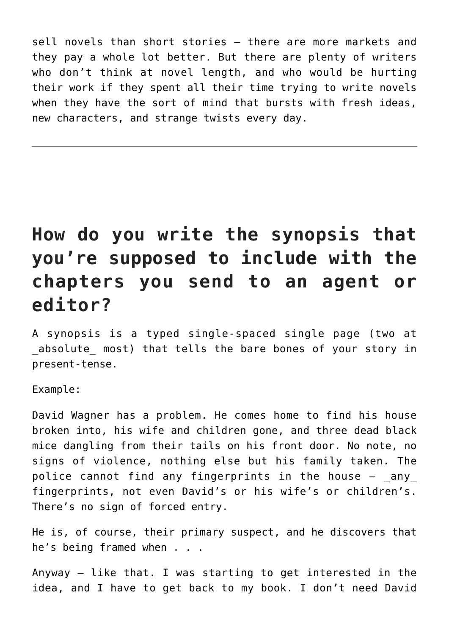sell novels than short stories — there are more markets and they pay a whole lot better. But there are plenty of writers who don't think at novel length, and who would be hurting their work if they spent all their time trying to write novels when they have the sort of mind that bursts with fresh ideas, new characters, and strange twists every day.

# **How do you write the synopsis that you're supposed to include with the chapters you send to an agent or editor?**

A synopsis is a typed single-spaced single page (two at absolute most) that tells the bare bones of your story in present-tense.

Example:

David Wagner has a problem. He comes home to find his house broken into, his wife and children gone, and three dead black mice dangling from their tails on his front door. No note, no signs of violence, nothing else but his family taken. The police cannot find any fingerprints in the house  $-$  any fingerprints, not even David's or his wife's or children's. There's no sign of forced entry.

He is, of course, their primary suspect, and he discovers that he's being framed when . . .

Anyway — like that. I was starting to get interested in the idea, and I have to get back to my book. I don't need David